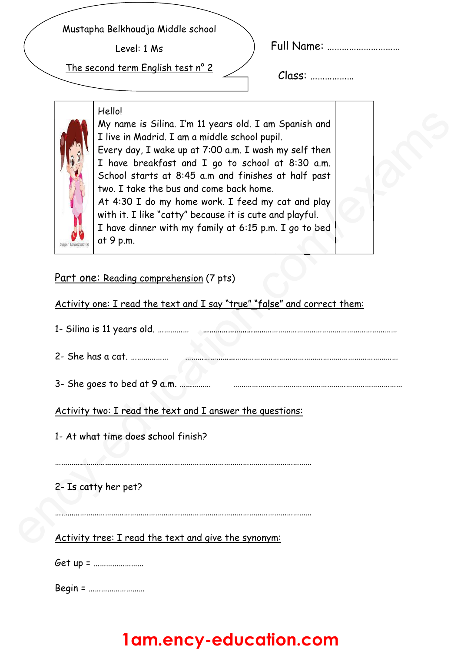Mustapha Belkhoudja Middle school

Level: 1 Ms

The second term English test n° 2

| <b>Full Name:</b> |  |  |  |
|-------------------|--|--|--|
|-------------------|--|--|--|

Class: ………………

#### Hello!



My name is Silina. I'm 11 years old. I am Spanish and I live in Madrid. I am a middle school pupil. Every day, I wake up at 7:00 a.m. I wash my self then I have breakfast and I go to school at 8:30 a.m. School starts at 8:45 a.m and finishes at half past two. I take the bus and come back home. At 4:30 I do my home work. I feed my cat and play with it. I like "catty" because it is cute and playful. I have dinner with my family at 6:15 p.m. I go to bed bed Spanish and<br>il.<br>my self then<br>at 8:30 a.m.<br>at half past<br>cat and play<br>nd playful.<br>I go to bed

| Part one: Reading comprehension (7 pts)<br>Activity one: I read the text and I say "true" "false" and correct them:<br>2- She has a cat.<br>3- She goes to bed at 9 a.m.<br>Activity two: I read the text and I answer the questions:<br>1- At what time does school finish?<br>2- Is catty her pet?<br>Activity tree: I read the text and give the synonym:<br>Get up = | I have dinner with my family at 6:15 p.m. I go to bed<br>at 9 p.m. |
|--------------------------------------------------------------------------------------------------------------------------------------------------------------------------------------------------------------------------------------------------------------------------------------------------------------------------------------------------------------------------|--------------------------------------------------------------------|
|                                                                                                                                                                                                                                                                                                                                                                          |                                                                    |
|                                                                                                                                                                                                                                                                                                                                                                          |                                                                    |
|                                                                                                                                                                                                                                                                                                                                                                          |                                                                    |
|                                                                                                                                                                                                                                                                                                                                                                          |                                                                    |
|                                                                                                                                                                                                                                                                                                                                                                          |                                                                    |
|                                                                                                                                                                                                                                                                                                                                                                          |                                                                    |
|                                                                                                                                                                                                                                                                                                                                                                          |                                                                    |
|                                                                                                                                                                                                                                                                                                                                                                          |                                                                    |
|                                                                                                                                                                                                                                                                                                                                                                          |                                                                    |
|                                                                                                                                                                                                                                                                                                                                                                          |                                                                    |
|                                                                                                                                                                                                                                                                                                                                                                          |                                                                    |
|                                                                                                                                                                                                                                                                                                                                                                          |                                                                    |

Begin = ………………………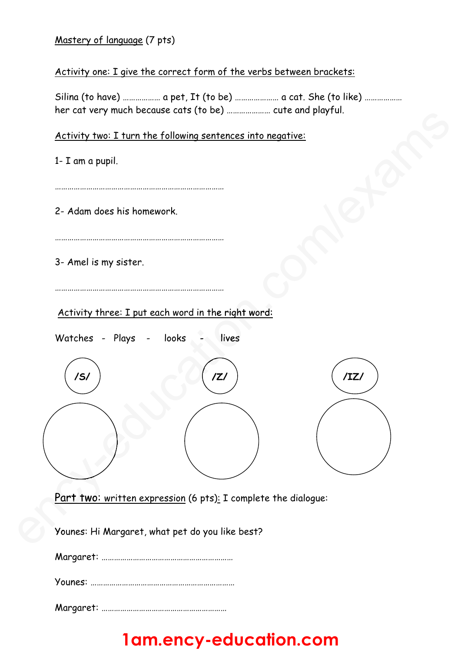### Mastery of language (7 pts)

### Activity one: I give the correct form of the verbs between brackets:

Silina (to have) ……………… a pet, It (to be) ………………… a cat. She (to like) ……………… her cat very much because cats (to be) ………………… cute and playful.

#### Activity two: I turn the following sentences into negative:

1- I am a pupil.

………………………………………………………………………

2- Adam does his homework.

………………………………………………………………………

………………………………………………………………………

3- Amel is my sister.

Watches - Plays - looks - lives d in the right wor<br>- lives

Activity three: I put each word in the right word:



<u>Part two: written expression</u> (6 pts): I complete the dialogue:

Younes: Hi Margaret, what pet do you like best? You

Margaret: ………………………………………………………

Younes: ……………………………………………………………

Margaret: ……………………………………………………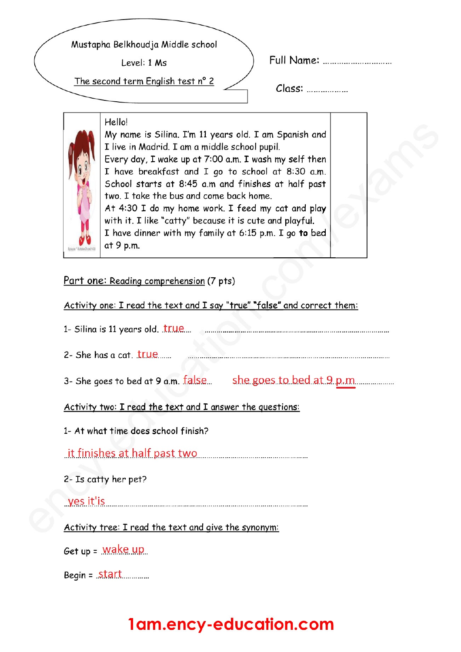Mustapha Belkhoudja Middle school

Level: 1 Ms

The second term English test n° 2

Full Name: ...............................

 $Class:$ 



Hello! My name is Silina. I'm 11 years old. I am Spanish and I live in Madrid. I am a middle school pupil. Every day, I wake up at 7:00 a.m. I wash my self then I have breakfast and I go to school at 8:30 a.m. School starts at 8:45 a.m and finishes at half past two. I take the bus and come back home. At 4:30 I do my home work. I feed my cat and play with it. I like "catty" because it is cute and playful. I have dinner with my family at 6:15 p.m. I go to bed at 9 p.m.

Part one: Reading comprehension (7 pts)

### Activity one: I read the text and I say "true" "false" and correct them:

1- Silina is 11 years old. true manufactured and state in the siling of the state of the state of the state of 2- She has a cat.  $true$ 3- She goes to bed at 9 a.m. false she goes to bed at 9 p.m. Activity two: I read the text and I answer the questions: 1- At what time does school finish? <u>it finishes at half past two manusus manusus manusus</u> 2- Is catty her pet? ves it'is were allowed the series of the series of the series of the series of the series of the series of the Activity tree: I read the text and give the synonym:

Get up =  $\frac{Wake}{up}$ 

Begin =  $Stat$